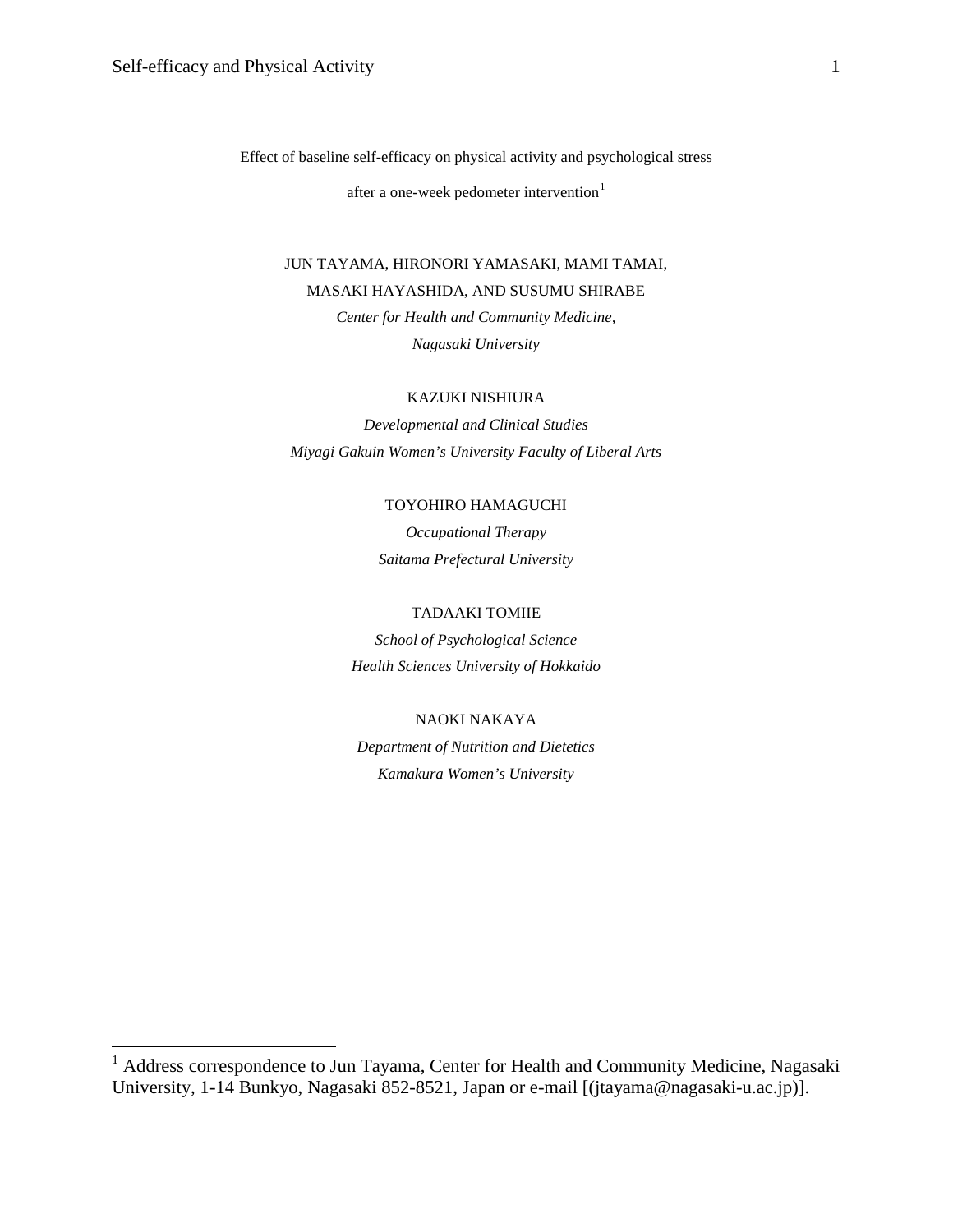Effect of baseline self-efficacy on physical activity and psychological stress

after a one-week pedometer intervention<sup>[1](#page-0-0)</sup>

JUN TAYAMA, HIRONORI YAMASAKI, MAMI TAMAI, MASAKI HAYASHIDA, AND SUSUMU SHIRABE *Center for Health and Community Medicine, Nagasaki University*

### KAZUKI NISHIURA

*Developmental and Clinical Studies Miyagi Gakuin Women's University Faculty of Liberal Arts*

# TOYOHIRO HAMAGUCHI

*Occupational Therapy Saitama Prefectural University*

# TADAAKI TOMIIE

*School of Psychological Science Health Sciences University of Hokkaido*

# NAOKI NAKAYA

*Department of Nutrition and Dietetics Kamakura Women's University*

<span id="page-0-0"></span><sup>&</sup>lt;sup>1</sup> Address correspondence to Jun Tayama, Center for Health and Community Medicine, Nagasaki University, 1-14 Bunkyo, Nagasaki 852-8521, Japan or e-mail [(jtayama@nagasaki-u.ac.jp)].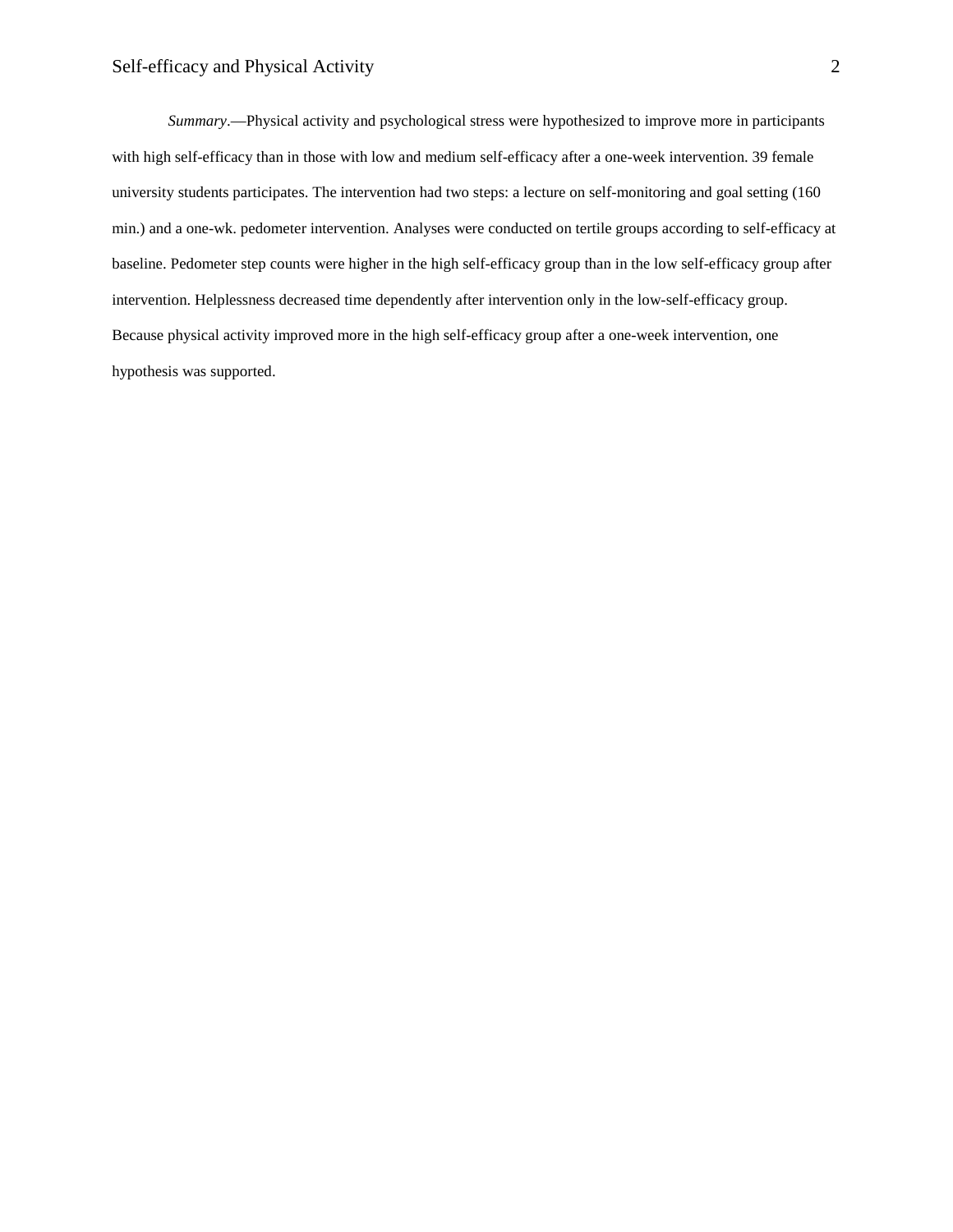*Summary*.—Physical activity and psychological stress were hypothesized to improve more in participants with high self-efficacy than in those with low and medium self-efficacy after a one-week intervention. 39 female university students participates. The intervention had two steps: a lecture on self-monitoring and goal setting (160 min.) and a one-wk. pedometer intervention. Analyses were conducted on tertile groups according to self-efficacy at baseline. Pedometer step counts were higher in the high self-efficacy group than in the low self-efficacy group after intervention. Helplessness decreased time dependently after intervention only in the low-self-efficacy group. Because physical activity improved more in the high self-efficacy group after a one-week intervention, one hypothesis was supported.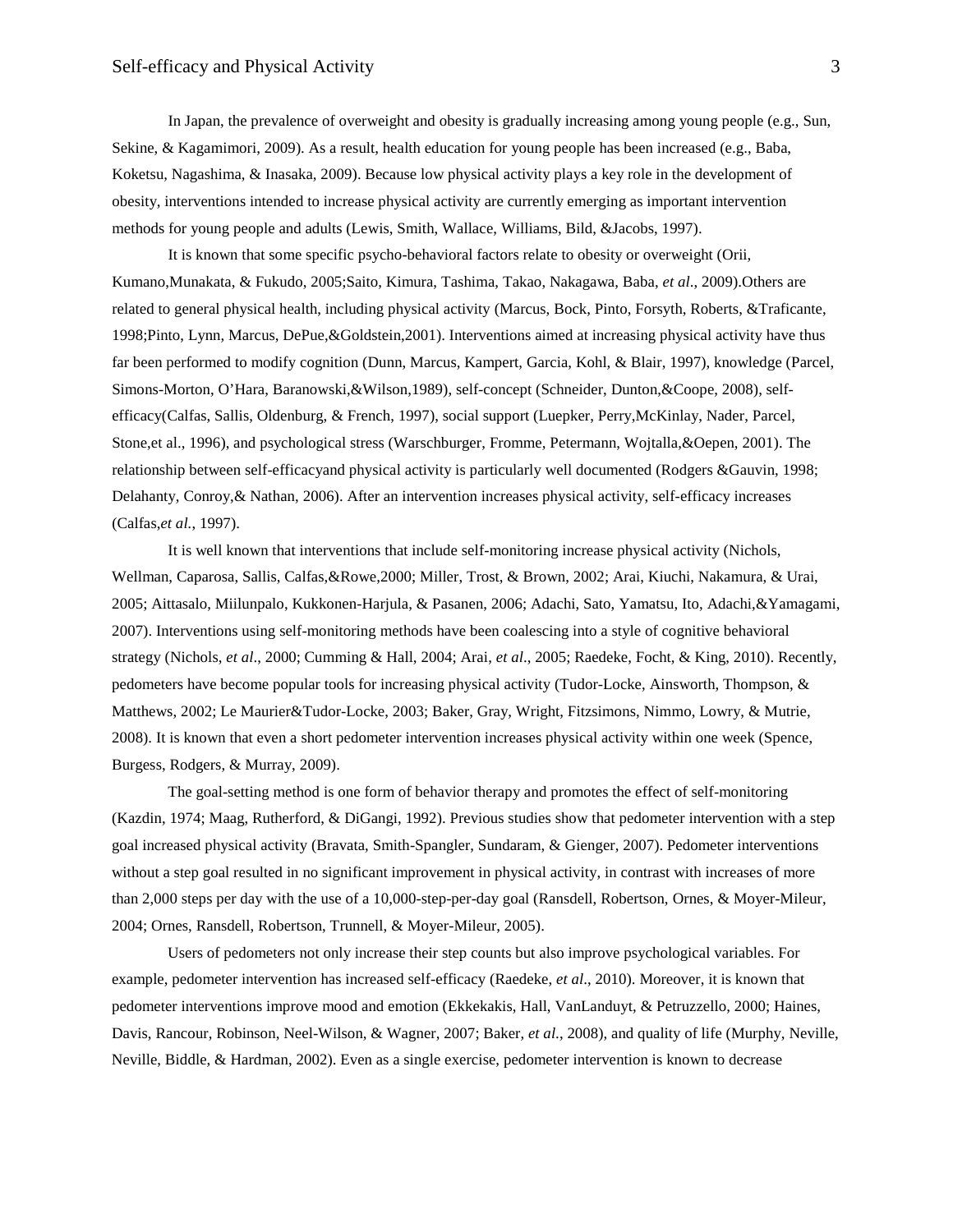In Japan, the prevalence of overweight and obesity is gradually increasing among young people (e.g., Sun, Sekine, & Kagamimori, 2009). As a result, health education for young people has been increased (e.g., Baba, Koketsu, Nagashima, & Inasaka, 2009). Because low physical activity plays a key role in the development of obesity, interventions intended to increase physical activity are currently emerging as important intervention methods for young people and adults (Lewis, Smith, Wallace, Williams, Bild, &Jacobs, 1997).

It is known that some specific psycho-behavioral factors relate to obesity or overweight (Orii, Kumano,Munakata, & Fukudo, 2005;Saito, Kimura, Tashima, Takao, Nakagawa, Baba, *et al*., 2009).Others are related to general physical health, including physical activity (Marcus, Bock, Pinto, Forsyth, Roberts, &Traficante, 1998;Pinto, Lynn, Marcus, DePue,&Goldstein,2001). Interventions aimed at increasing physical activity have thus far been performed to modify cognition (Dunn, Marcus, Kampert, Garcia, Kohl, & Blair, 1997), knowledge (Parcel, Simons-Morton, O'Hara, Baranowski,&Wilson,1989), self-concept (Schneider, Dunton,&Coope, 2008), selfefficacy(Calfas, Sallis, Oldenburg, & French, 1997), social support (Luepker, Perry,McKinlay, Nader, Parcel, Stone,et al., 1996), and psychological stress (Warschburger, Fromme, Petermann, Wojtalla,&Oepen, 2001). The relationship between self-efficacyand physical activity is particularly well documented (Rodgers &Gauvin, 1998; Delahanty, Conroy,& Nathan, 2006). After an intervention increases physical activity, self-efficacy increases (Calfas,*et al.*, 1997).

It is well known that interventions that include self-monitoring increase physical activity (Nichols, Wellman, Caparosa, Sallis, Calfas,&Rowe,2000; Miller, Trost, & Brown, 2002; Arai, Kiuchi, Nakamura, & Urai, 2005; Aittasalo, Miilunpalo, Kukkonen-Harjula, & Pasanen, 2006; Adachi, Sato, Yamatsu, Ito, Adachi,&Yamagami, 2007). Interventions using self-monitoring methods have been coalescing into a style of cognitive behavioral strategy (Nichols, *et al*., 2000; Cumming & Hall, 2004; Arai, *et al*., 2005; Raedeke, Focht, & King, 2010). Recently, pedometers have become popular tools for increasing physical activity (Tudor-Locke, Ainsworth, Thompson, & Matthews, 2002; Le Maurier&Tudor-Locke, 2003; Baker, Gray, Wright, Fitzsimons, Nimmo, Lowry, & Mutrie, 2008). It is known that even a short pedometer intervention increases physical activity within one week (Spence, Burgess, Rodgers, & Murray, 2009).

The goal-setting method is one form of behavior therapy and promotes the effect of self-monitoring (Kazdin, 1974; Maag, Rutherford, & DiGangi, 1992). Previous studies show that pedometer intervention with a step goal increased physical activity (Bravata, Smith-Spangler, Sundaram, & Gienger, 2007). Pedometer interventions without a step goal resulted in no significant improvement in physical activity, in contrast with increases of more than 2,000 steps per day with the use of a 10,000-step-per-day goal (Ransdell, Robertson, Ornes, & Moyer-Mileur, 2004; Ornes, Ransdell, Robertson, Trunnell, & Moyer-Mileur, 2005).

Users of pedometers not only increase their step counts but also improve psychological variables. For example, pedometer intervention has increased self-efficacy (Raedeke, *et al*., 2010). Moreover, it is known that pedometer interventions improve mood and emotion (Ekkekakis, Hall, VanLanduyt, & Petruzzello, 2000; Haines, Davis, Rancour, Robinson, Neel-Wilson, & Wagner, 2007; Baker, *et al*., 2008), and quality of life (Murphy, Neville, Neville, Biddle, & Hardman, 2002). Even as a single exercise, pedometer intervention is known to decrease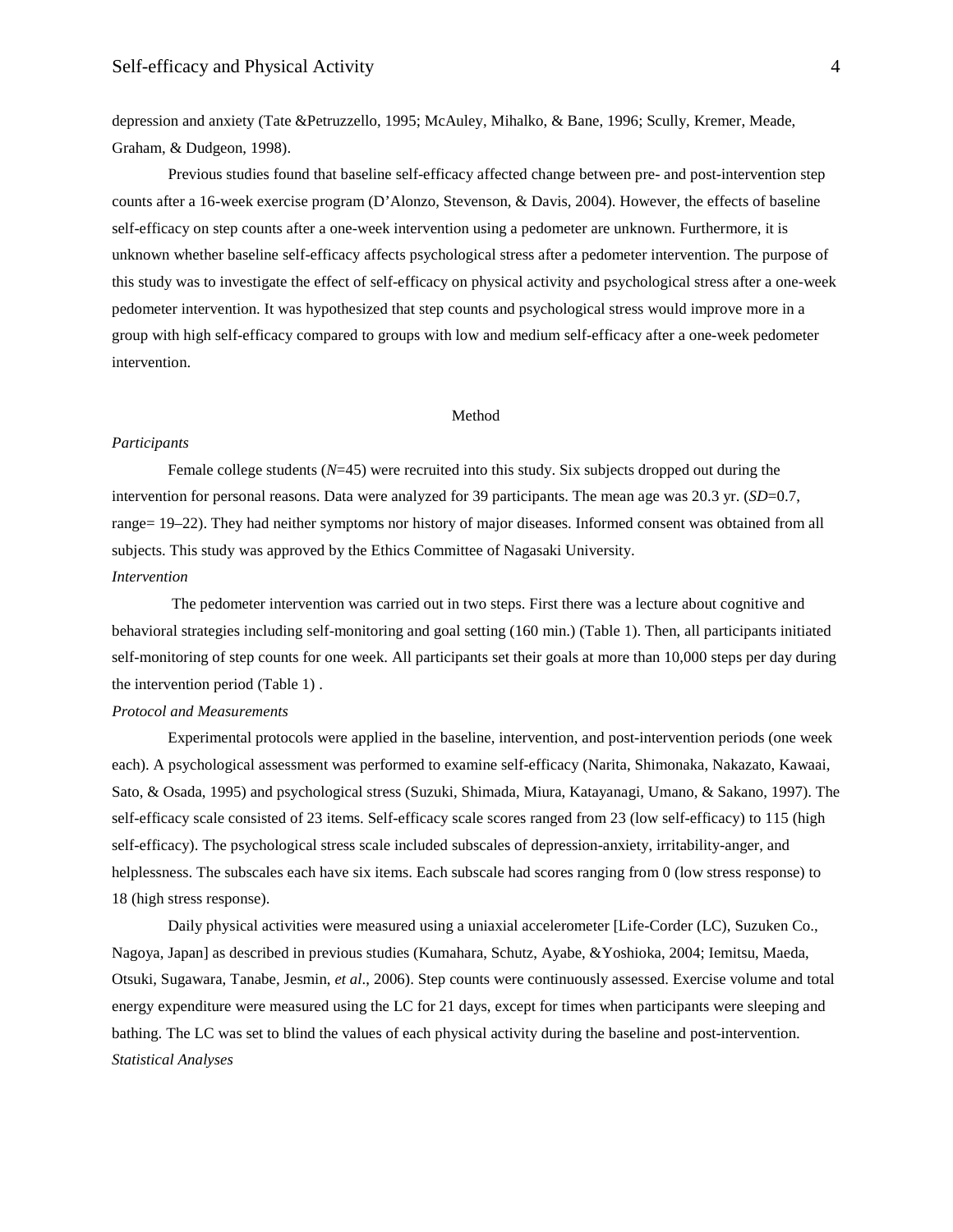depression and anxiety (Tate &Petruzzello, 1995; McAuley, Mihalko, & Bane, 1996; Scully, Kremer, Meade, Graham, & Dudgeon, 1998).

Previous studies found that baseline self-efficacy affected change between pre- and post-intervention step counts after a 16-week exercise program (D'Alonzo, Stevenson, & Davis, 2004). However, the effects of baseline self-efficacy on step counts after a one-week intervention using a pedometer are unknown. Furthermore, it is unknown whether baseline self-efficacy affects psychological stress after a pedometer intervention. The purpose of this study was to investigate the effect of self-efficacy on physical activity and psychological stress after a one-week pedometer intervention. It was hypothesized that step counts and psychological stress would improve more in a group with high self-efficacy compared to groups with low and medium self-efficacy after a one-week pedometer intervention.

### Method

## *Participants*

Female college students (*N*=45) were recruited into this study. Six subjects dropped out during the intervention for personal reasons. Data were analyzed for 39 participants. The mean age was 20.3 yr. (*SD*=0.7, range= 19–22). They had neither symptoms nor history of major diseases. Informed consent was obtained from all subjects. This study was approved by the Ethics Committee of Nagasaki University. *Intervention*

The pedometer intervention was carried out in two steps. First there was a lecture about cognitive and behavioral strategies including self-monitoring and goal setting (160 min.) (Table 1). Then, all participants initiated self-monitoring of step counts for one week. All participants set their goals at more than 10,000 steps per day during the intervention period (Table 1) .

## *Protocol and Measurements*

Experimental protocols were applied in the baseline, intervention, and post-intervention periods (one week each). A psychological assessment was performed to examine self-efficacy (Narita, Shimonaka, Nakazato, Kawaai, Sato, & Osada, 1995) and psychological stress (Suzuki, Shimada, Miura, Katayanagi, Umano, & Sakano, 1997). The self-efficacy scale consisted of 23 items. Self-efficacy scale scores ranged from 23 (low self-efficacy) to 115 (high self-efficacy). The psychological stress scale included subscales of depression-anxiety, irritability-anger, and helplessness. The subscales each have six items. Each subscale had scores ranging from 0 (low stress response) to 18 (high stress response).

Daily physical activities were measured using a uniaxial accelerometer [Life-Corder (LC), Suzuken Co., Nagoya, Japan] as described in previous studies (Kumahara, Schutz, Ayabe, &Yoshioka, 2004; Iemitsu, Maeda, Otsuki, Sugawara, Tanabe, Jesmin, *et al*., 2006). Step counts were continuously assessed. Exercise volume and total energy expenditure were measured using the LC for 21 days, except for times when participants were sleeping and bathing. The LC was set to blind the values of each physical activity during the baseline and post-intervention. *Statistical Analyses*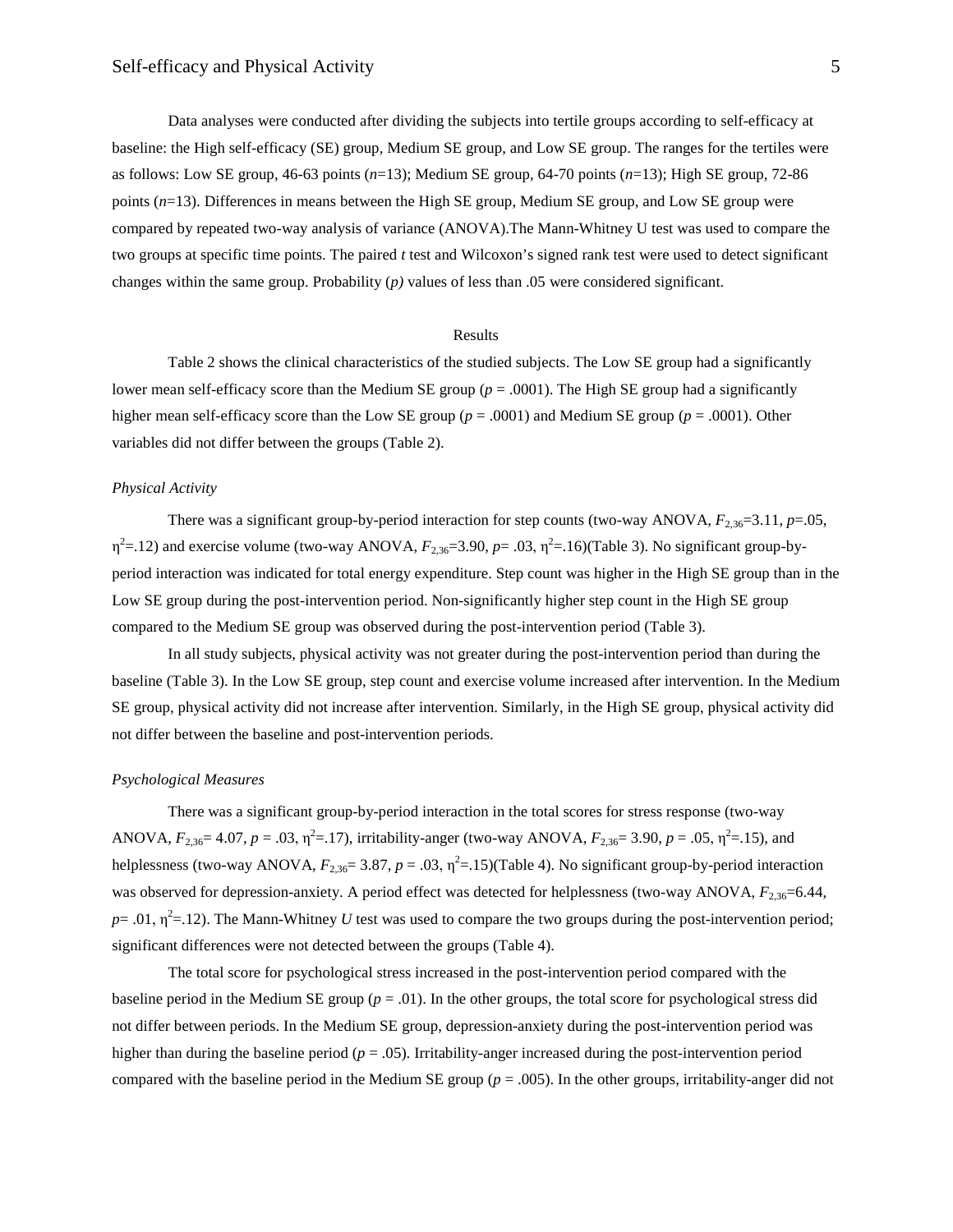Data analyses were conducted after dividing the subjects into tertile groups according to self-efficacy at baseline: the High self-efficacy (SE) group, Medium SE group, and Low SE group. The ranges for the tertiles were as follows: Low SE group, 46-63 points (*n*=13); Medium SE group, 64-70 points (*n*=13); High SE group, 72-86 points (*n*=13). Differences in means between the High SE group, Medium SE group, and Low SE group were compared by repeated two-way analysis of variance (ANOVA).The Mann-Whitney U test was used to compare the two groups at specific time points. The paired *t* test and Wilcoxon's signed rank test were used to detect significant changes within the same group. Probability (*p)* values of less than .05 were considered significant.

#### Results

Table 2 shows the clinical characteristics of the studied subjects. The Low SE group had a significantly lower mean self-efficacy score than the Medium SE group ( $p = .0001$ ). The High SE group had a significantly higher mean self-efficacy score than the Low SE group (*p* = .0001) and Medium SE group (*p* = .0001). Other variables did not differ between the groups (Table 2).

## *Physical Activity*

There was a significant group-by-period interaction for step counts (two-way ANOVA,  $F_{2,36}=3.11$ ,  $p=.05$ ,  $\eta^2$ =.12) and exercise volume (two-way ANOVA,  $F_{2,36}$ =3.90,  $p$ =.03,  $\eta^2$ =.16)(Table 3). No significant group-byperiod interaction was indicated for total energy expenditure. Step count was higher in the High SE group than in the Low SE group during the post-intervention period. Non-significantly higher step count in the High SE group compared to the Medium SE group was observed during the post-intervention period (Table 3).

In all study subjects, physical activity was not greater during the post-intervention period than during the baseline (Table 3). In the Low SE group, step count and exercise volume increased after intervention. In the Medium SE group, physical activity did not increase after intervention. Similarly, in the High SE group, physical activity did not differ between the baseline and post-intervention periods.

#### *Psychological Measures*

There was a significant group-by-period interaction in the total scores for stress response (two-way ANOVA,  $F_{2,36}=4.07$ ,  $p=.03$ ,  $\eta^2=.17$ ), irritability-anger (two-way ANOVA,  $F_{2,36}=3.90$ ,  $p=.05$ ,  $\eta^2=.15$ ), and helplessness (two-way ANOVA,  $F_{2,36}$ = 3.87,  $p = .03$ ,  $\eta^2$ = 15)(Table 4). No significant group-by-period interaction was observed for depression-anxiety. A period effect was detected for helplessness (two-way ANOVA,  $F_{2,36}=6.44$ ,  $p = .01$ ,  $\eta^2 = .12$ ). The Mann-Whitney *U* test was used to compare the two groups during the post-intervention period; significant differences were not detected between the groups (Table 4).

The total score for psychological stress increased in the post-intervention period compared with the baseline period in the Medium SE group ( $p = .01$ ). In the other groups, the total score for psychological stress did not differ between periods. In the Medium SE group, depression-anxiety during the post-intervention period was higher than during the baseline period ( $p = .05$ ). Irritability-anger increased during the post-intervention period compared with the baseline period in the Medium SE group (*p* = .005). In the other groups, irritability-anger did not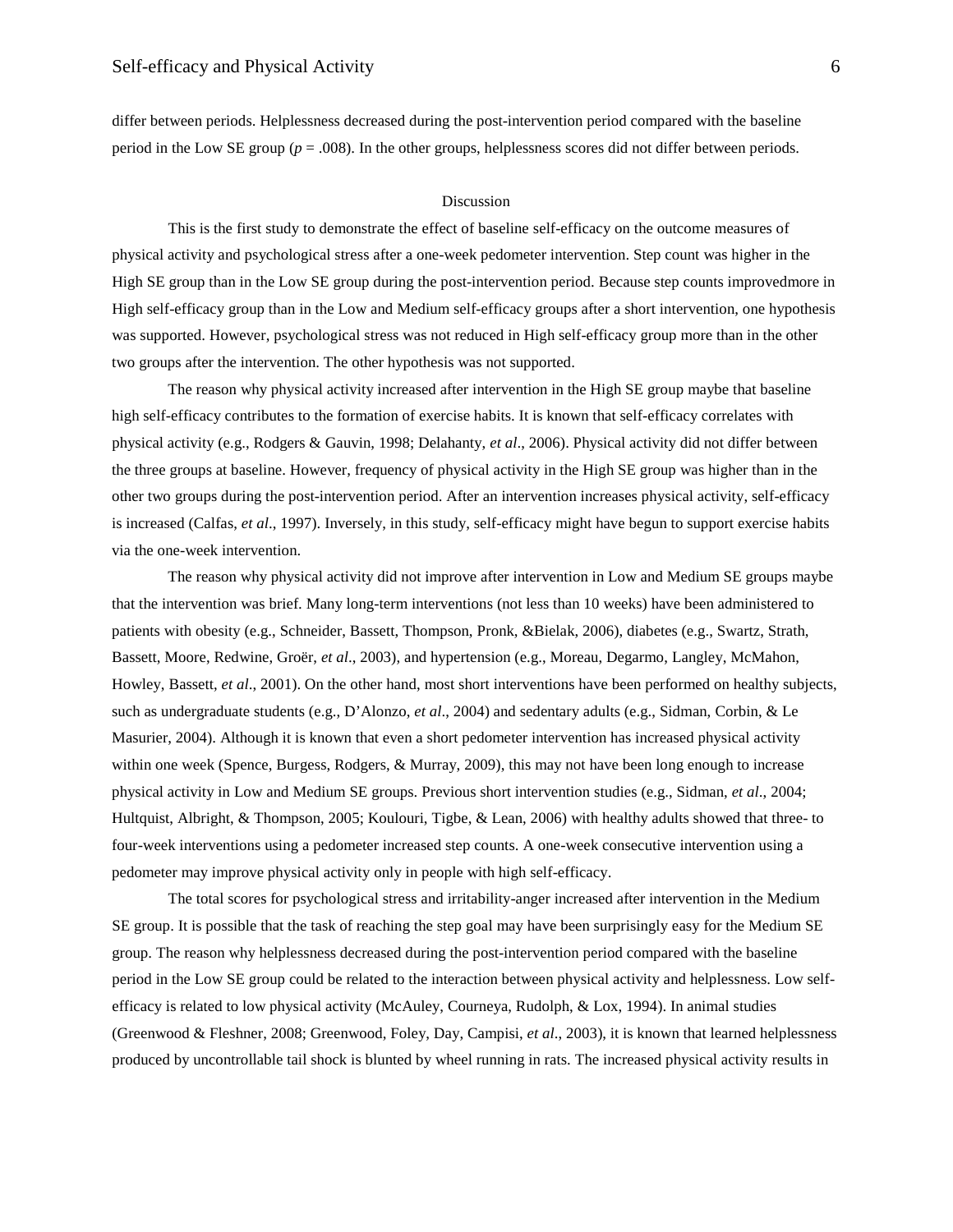differ between periods. Helplessness decreased during the post-intervention period compared with the baseline period in the Low SE group ( $p = .008$ ). In the other groups, helplessness scores did not differ between periods.

## Discussion

This is the first study to demonstrate the effect of baseline self-efficacy on the outcome measures of physical activity and psychological stress after a one-week pedometer intervention. Step count was higher in the High SE group than in the Low SE group during the post-intervention period. Because step counts improvedmore in High self-efficacy group than in the Low and Medium self-efficacy groups after a short intervention, one hypothesis was supported. However, psychological stress was not reduced in High self-efficacy group more than in the other two groups after the intervention. The other hypothesis was not supported.

The reason why physical activity increased after intervention in the High SE group maybe that baseline high self-efficacy contributes to the formation of exercise habits. It is known that self-efficacy correlates with physical activity (e.g., Rodgers & Gauvin, 1998; Delahanty, *et al*., 2006). Physical activity did not differ between the three groups at baseline. However, frequency of physical activity in the High SE group was higher than in the other two groups during the post-intervention period. After an intervention increases physical activity, self-efficacy is increased (Calfas, *et al*., 1997). Inversely, in this study, self-efficacy might have begun to support exercise habits via the one-week intervention.

The reason why physical activity did not improve after intervention in Low and Medium SE groups maybe that the intervention was brief. Many long-term interventions (not less than 10 weeks) have been administered to patients with obesity (e.g., Schneider, Bassett, Thompson, Pronk, &Bielak, 2006), diabetes (e.g., Swartz, Strath, Bassett, Moore, Redwine, Groër, *et al*., 2003), and hypertension (e.g., Moreau, Degarmo, Langley, McMahon, Howley, Bassett, *et al*., 2001). On the other hand, most short interventions have been performed on healthy subjects, such as undergraduate students (e.g., D'Alonzo, *et al*., 2004) and sedentary adults (e.g., Sidman, Corbin, & Le Masurier, 2004). Although it is known that even a short pedometer intervention has increased physical activity within one week (Spence, Burgess, Rodgers, & Murray, 2009), this may not have been long enough to increase physical activity in Low and Medium SE groups. Previous short intervention studies (e.g., Sidman, *et al*., 2004; Hultquist, Albright, & Thompson, 2005; Koulouri, Tigbe, & Lean, 2006) with healthy adults showed that three- to four-week interventions using a pedometer increased step counts. A one-week consecutive intervention using a pedometer may improve physical activity only in people with high self-efficacy.

The total scores for psychological stress and irritability-anger increased after intervention in the Medium SE group. It is possible that the task of reaching the step goal may have been surprisingly easy for the Medium SE group. The reason why helplessness decreased during the post-intervention period compared with the baseline period in the Low SE group could be related to the interaction between physical activity and helplessness. Low selfefficacy is related to low physical activity (McAuley, Courneya, Rudolph, & Lox, 1994). In animal studies (Greenwood & Fleshner, 2008; Greenwood, Foley, Day, Campisi, *et al*., 2003), it is known that learned helplessness produced by uncontrollable tail shock is blunted by wheel running in rats. The increased physical activity results in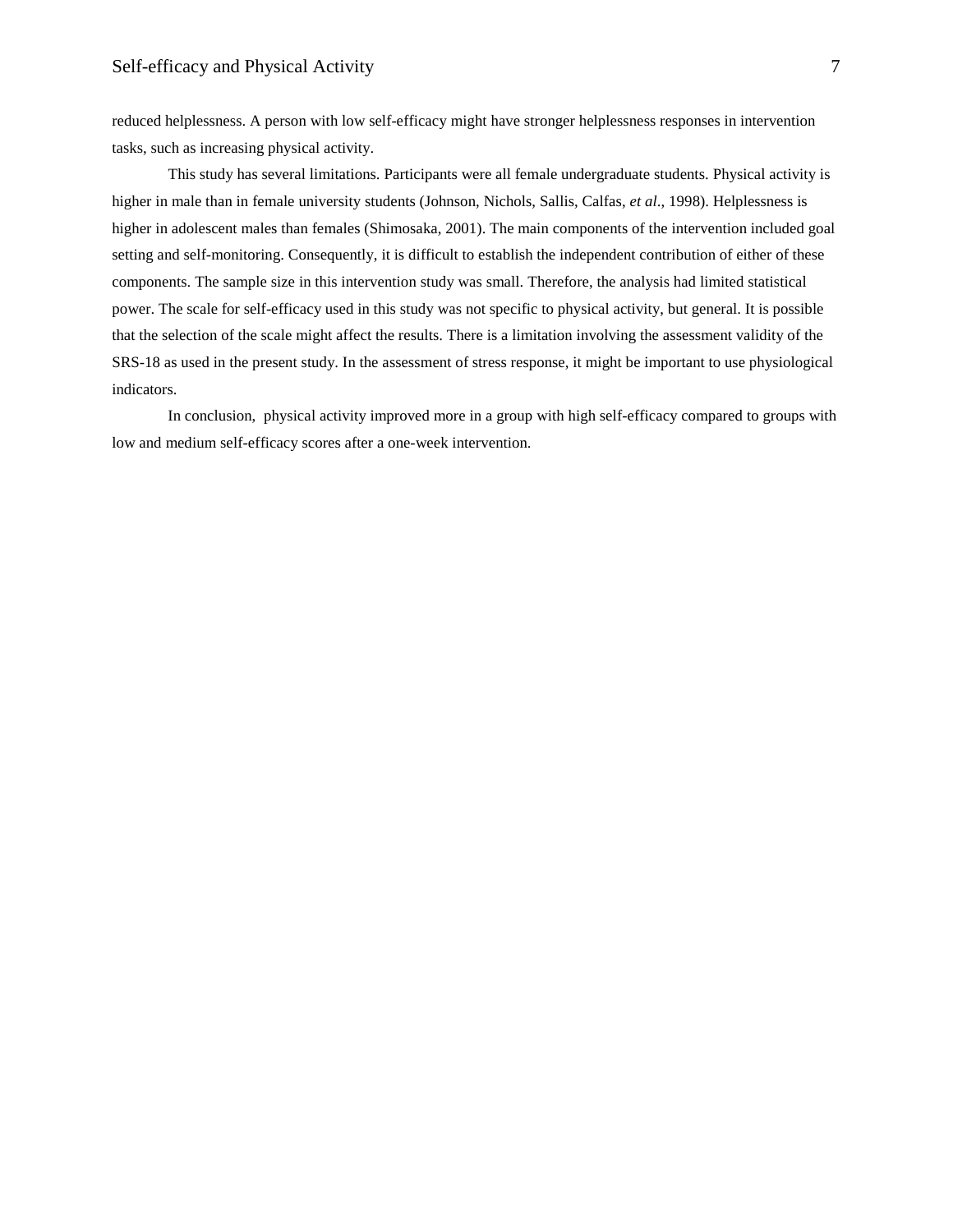reduced helplessness. A person with low self-efficacy might have stronger helplessness responses in intervention tasks, such as increasing physical activity.

This study has several limitations. Participants were all female undergraduate students. Physical activity is higher in male than in female university students (Johnson, Nichols, Sallis, Calfas, *et al*., 1998). Helplessness is higher in adolescent males than females (Shimosaka, 2001). The main components of the intervention included goal setting and self-monitoring. Consequently, it is difficult to establish the independent contribution of either of these components. The sample size in this intervention study was small. Therefore, the analysis had limited statistical power. The scale for self-efficacy used in this study was not specific to physical activity, but general. It is possible that the selection of the scale might affect the results. There is a limitation involving the assessment validity of the SRS-18 as used in the present study. In the assessment of stress response, it might be important to use physiological indicators.

In conclusion, physical activity improved more in a group with high self-efficacy compared to groups with low and medium self-efficacy scores after a one-week intervention.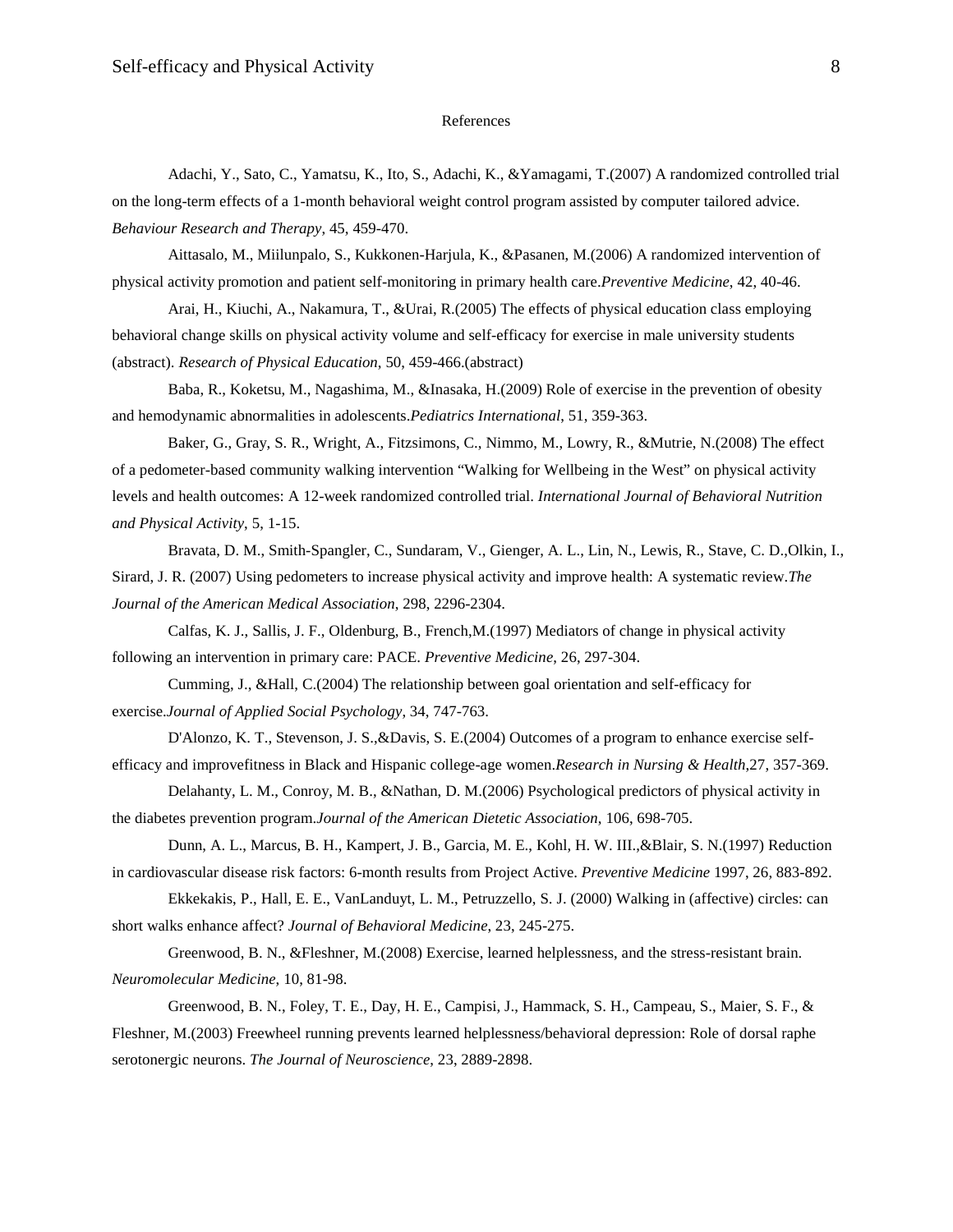# References

Adachi, Y., Sato, C., Yamatsu, K., Ito, S., Adachi, K., &Yamagami, T.(2007) A randomized controlled trial on the long-term effects of a 1-month behavioral weight control program assisted by computer tailored advice. *Behaviour Research and Therapy*, 45, 459-470.

Aittasalo, M., Miilunpalo, S., Kukkonen-Harjula, K., &Pasanen, M.(2006) A randomized intervention of physical activity promotion and patient self-monitoring in primary health care.*Preventive Medicine*, 42, 40-46.

Arai, H., Kiuchi, A., Nakamura, T., &Urai, R.(2005) The effects of physical education class employing behavioral change skills on physical activity volume and self-efficacy for exercise in male university students (abstract). *Research of Physical Education*, 50, 459-466.(abstract)

Baba, R., Koketsu, M., Nagashima, M., &Inasaka, H.(2009) Role of exercise in the prevention of obesity and hemodynamic abnormalities in adolescents.*Pediatrics International*, 51, 359-363.

Baker, G., Gray, S. R., Wright, A., Fitzsimons, C., Nimmo, M., Lowry, R., &Mutrie, N.(2008) The effect of a pedometer-based community walking intervention "Walking for Wellbeing in the West" on physical activity levels and health outcomes: A 12-week randomized controlled trial. *International Journal of Behavioral Nutrition and Physical Activity*, 5, 1-15.

Bravata, D. M., Smith-Spangler, C., Sundaram, V., Gienger, A. L., Lin, N., Lewis, R., Stave, C. D.,Olkin, I., Sirard, J. R. (2007) Using pedometers to increase physical activity and improve health: A systematic review.*The Journal of the American Medical Association*, 298, 2296-2304.

Calfas, K. J., Sallis, J. F., Oldenburg, B., French,M.(1997) Mediators of change in physical activity following an intervention in primary care: PACE. *Preventive Medicine*, 26, 297-304.

Cumming, J., &Hall, C.(2004) The relationship between goal orientation and self-efficacy for exercise.*Journal of Applied Social Psychology*, 34, 747-763.

D'Alonzo, K. T., Stevenson, J. S.,&Davis, S. E.(2004) Outcomes of a program to enhance exercise selfefficacy and improvefitness in Black and Hispanic college-age women.*Research in Nursing & Health*,27, 357-369.

Delahanty, L. M., Conroy, M. B., &Nathan, D. M.(2006) Psychological predictors of physical activity in the diabetes prevention program.*Journal of the American Dietetic Association*, 106, 698-705.

Dunn, A. L., Marcus, B. H., Kampert, J. B., Garcia, M. E., Kohl, H. W. III.,&Blair, S. N.(1997) Reduction in cardiovascular disease risk factors: 6-month results from Project Active. *Preventive Medicine* 1997, 26, 883-892.

Ekkekakis, P., Hall, E. E., VanLanduyt, L. M., Petruzzello, S. J. (2000) Walking in (affective) circles: can short walks enhance affect? *Journal of Behavioral Medicine*, 23, 245-275.

Greenwood, B. N., &Fleshner, M.(2008) Exercise, learned helplessness, and the stress-resistant brain. *Neuromolecular Medicine*, 10, 81-98.

Greenwood, B. N., Foley, T. E., Day, H. E., Campisi, J., Hammack, S. H., Campeau, S., Maier, S. F., & Fleshner, M.(2003) Freewheel running prevents learned helplessness/behavioral depression: Role of dorsal raphe serotonergic neurons. *The Journal of Neuroscience*, 23, 2889-2898.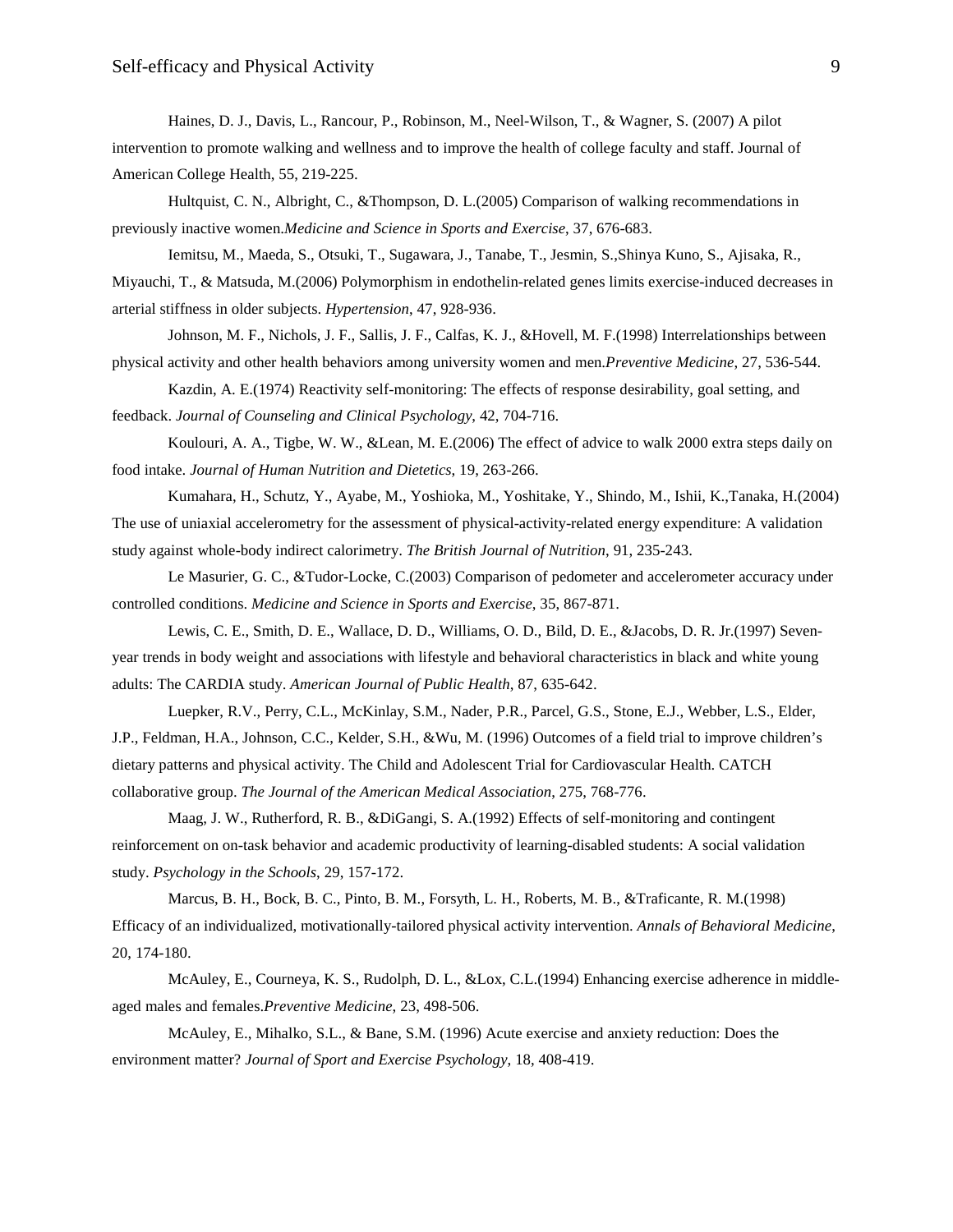Haines, D. J., Davis, L., Rancour, P., Robinson, M., Neel-Wilson, T., & Wagner, S. (2007) A pilot intervention to promote walking and wellness and to improve the health of college faculty and staff. Journal of American College Health, 55, 219-225.

Hultquist, C. N., Albright, C., &Thompson, D. L.(2005) Comparison of walking recommendations in previously inactive women.*Medicine and Science in Sports and Exercise*, 37, 676-683.

Iemitsu, M., Maeda, S., Otsuki, T., Sugawara, J., Tanabe, T., Jesmin, S.,Shinya Kuno, S., Ajisaka, R., Miyauchi, T., & Matsuda, M.(2006) Polymorphism in endothelin-related genes limits exercise-induced decreases in arterial stiffness in older subjects. *Hypertension*, 47, 928-936.

Johnson, M. F., Nichols, J. F., Sallis, J. F., Calfas, K. J., &Hovell, M. F.(1998) Interrelationships between physical activity and other health behaviors among university women and men.*Preventive Medicine*, 27, 536-544.

Kazdin, A. E.(1974) Reactivity self-monitoring: The effects of response desirability, goal setting, and feedback. *Journal of Counseling and Clinical Psychology*, 42, 704-716.

Koulouri, A. A., Tigbe, W. W., &Lean, M. E.(2006) The effect of advice to walk 2000 extra steps daily on food intake. *Journal of Human Nutrition and Dietetics*, 19, 263-266.

Kumahara, H., Schutz, Y., Ayabe, M., Yoshioka, M., Yoshitake, Y., Shindo, M., Ishii, K.,Tanaka, H.(2004) The use of uniaxial accelerometry for the assessment of physical-activity-related energy expenditure: A validation study against whole-body indirect calorimetry. *The British Journal of Nutrition*, 91, 235-243.

Le Masurier, G. C., &Tudor-Locke, C.(2003) Comparison of pedometer and accelerometer accuracy under controlled conditions. *Medicine and Science in Sports and Exercise*, 35, 867-871.

Lewis, C. E., Smith, D. E., Wallace, D. D., Williams, O. D., Bild, D. E., &Jacobs, D. R. Jr.(1997) Sevenyear trends in body weight and associations with lifestyle and behavioral characteristics in black and white young adults: The CARDIA study. *American Journal of Public Health*, 87, 635-642.

Luepker, R.V., Perry, C.L., McKinlay, S.M., Nader, P.R., Parcel, G.S., Stone, E.J., Webber, L.S., Elder, J.P., Feldman, H.A., Johnson, C.C., Kelder, S.H., &Wu, M. (1996) Outcomes of a field trial to improve children's dietary patterns and physical activity. The Child and Adolescent Trial for Cardiovascular Health. CATCH collaborative group. *The Journal of the American Medical Association*, 275, 768-776.

Maag, J. W., Rutherford, R. B., &DiGangi, S. A.(1992) Effects of self-monitoring and contingent reinforcement on on-task behavior and academic productivity of learning-disabled students: A social validation study. *Psychology in the Schools*, 29, 157-172.

Marcus, B. H., Bock, B. C., Pinto, B. M., Forsyth, L. H., Roberts, M. B., &Traficante, R. M.(1998) Efficacy of an individualized, motivationally-tailored physical activity intervention. *Annals of Behavioral Medicine*, 20, 174-180.

McAuley, E., Courneya, K. S., Rudolph, D. L., &Lox, C.L.(1994) Enhancing exercise adherence in middleaged males and females.*Preventive Medicine*, 23, 498-506.

McAuley, E., Mihalko, S.L., & Bane, S.M. (1996) Acute exercise and anxiety reduction: Does the environment matter? *Journal of Sport and Exercise Psychology*, 18, 408-419.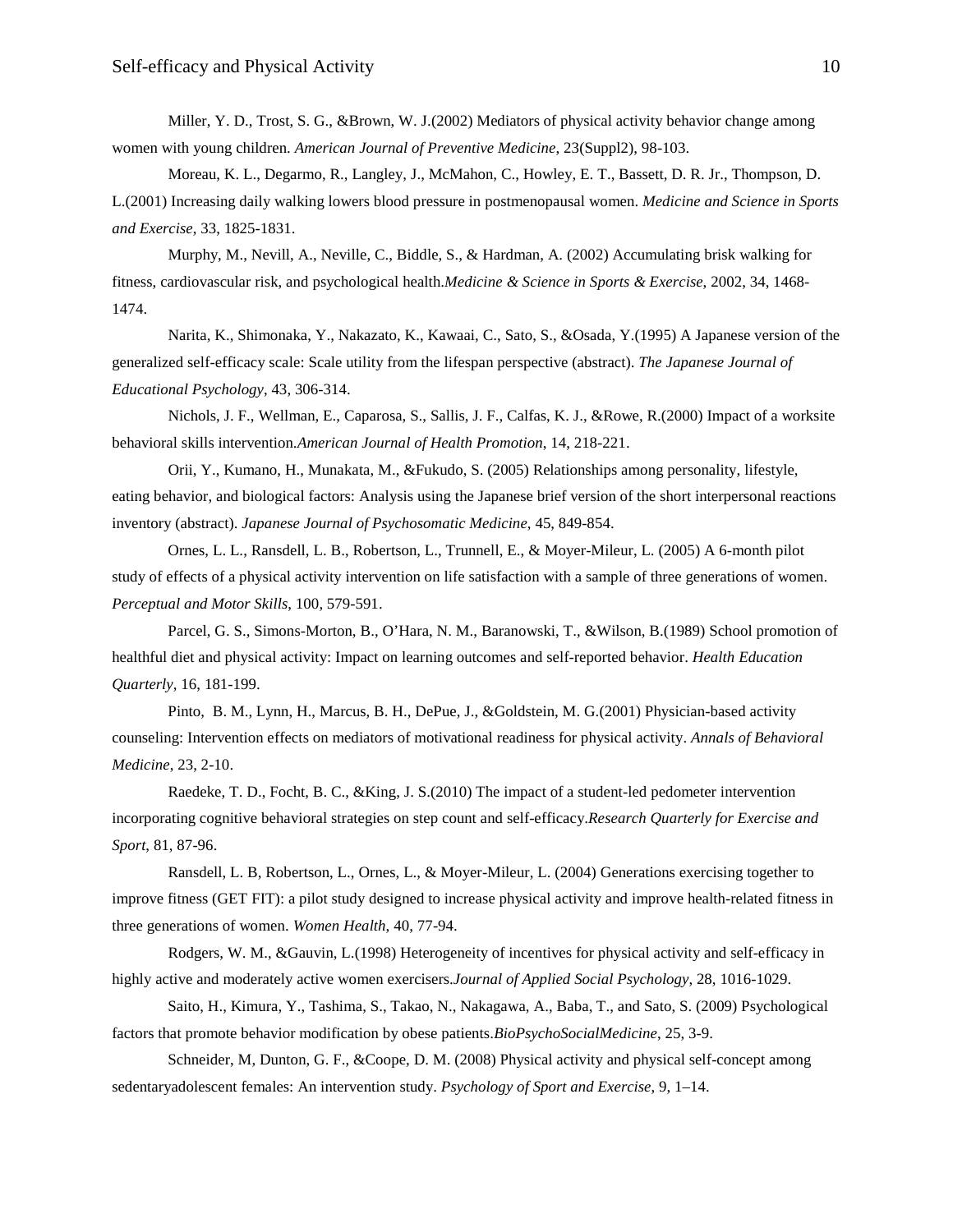Miller, Y. D., Trost, S. G., &Brown, W. J.(2002) Mediators of physical activity behavior change among women with young children. *American Journal of Preventive Medicine*, 23(Suppl2), 98-103.

Moreau, K. L., Degarmo, R., Langley, J., McMahon, C., Howley, E. T., Bassett, D. R. Jr., Thompson, D. L.(2001) Increasing daily walking lowers blood pressure in postmenopausal women. *Medicine and Science in Sports and Exercise*, 33, 1825-1831.

Murphy, M., Nevill, A., Neville, C., Biddle, S., & Hardman, A. (2002) Accumulating brisk walking for fitness, cardiovascular risk, and psychological health.*Medicine & Science in Sports & Exercise*, 2002, 34, 1468- 1474.

Narita, K., Shimonaka, Y., Nakazato, K., Kawaai, C., Sato, S., &Osada, Y.(1995) A Japanese version of the generalized self-efficacy scale: Scale utility from the lifespan perspective (abstract). *The Japanese Journal of Educational Psychology*, 43, 306-314.

Nichols, J. F., Wellman, E., Caparosa, S., Sallis, J. F., Calfas, K. J., &Rowe, R.(2000) Impact of a worksite behavioral skills intervention.*American Journal of Health Promotion*, 14, 218-221.

Orii, Y., Kumano, H., Munakata, M., &Fukudo, S. (2005) Relationships among personality, lifestyle, eating behavior, and biological factors: Analysis using the Japanese brief version of the short interpersonal reactions inventory (abstract). *Japanese Journal of Psychosomatic Medicine*, 45, 849-854.

Ornes, L. L., Ransdell, L. B., Robertson, L., Trunnell, E., & Moyer-Mileur, L. (2005) A 6-month pilot study of effects of a physical activity intervention on life satisfaction with a sample of three generations of women. *Perceptual and Motor Skills*, 100, 579-591.

Parcel, G. S., Simons-Morton, B., O'Hara, N. M., Baranowski, T., &Wilson, B.(1989) School promotion of healthful diet and physical activity: Impact on learning outcomes and self-reported behavior. *Health Education Quarterly*, 16, 181-199.

Pinto, B. M., Lynn, H., Marcus, B. H., DePue, J., &Goldstein, M. G.(2001) Physician-based activity counseling: Intervention effects on mediators of motivational readiness for physical activity. *Annals of Behavioral Medicine*, 23, 2-10.

Raedeke, T. D., Focht, B. C., &King, J. S.(2010) The impact of a student-led pedometer intervention incorporating cognitive behavioral strategies on step count and self-efficacy.*Research Quarterly for Exercise and Sport*, 81, 87-96.

Ransdell, L. B, Robertson, L., Ornes, L., & Moyer-Mileur, L. (2004) Generations exercising together to improve fitness (GET FIT): a pilot study designed to increase physical activity and improve health-related fitness in three generations of women. *Women Health*, 40, 77-94.

Rodgers, W. M., &Gauvin, L.(1998) Heterogeneity of incentives for physical activity and self-efficacy in highly active and moderately active women exercisers.*Journal of Applied Social Psychology*, 28, 1016-1029.

Saito, H., Kimura, Y., Tashima, S., Takao, N., Nakagawa, A., Baba, T., and Sato, S. (2009) Psychological factors that promote behavior modification by obese patients.*BioPsychoSocialMedicine*, 25, 3-9.

Schneider, M, Dunton, G. F., &Coope, D. M. (2008) Physical activity and physical self-concept among sedentaryadolescent females: An intervention study. *Psychology of Sport and Exercise*, 9, 1–14.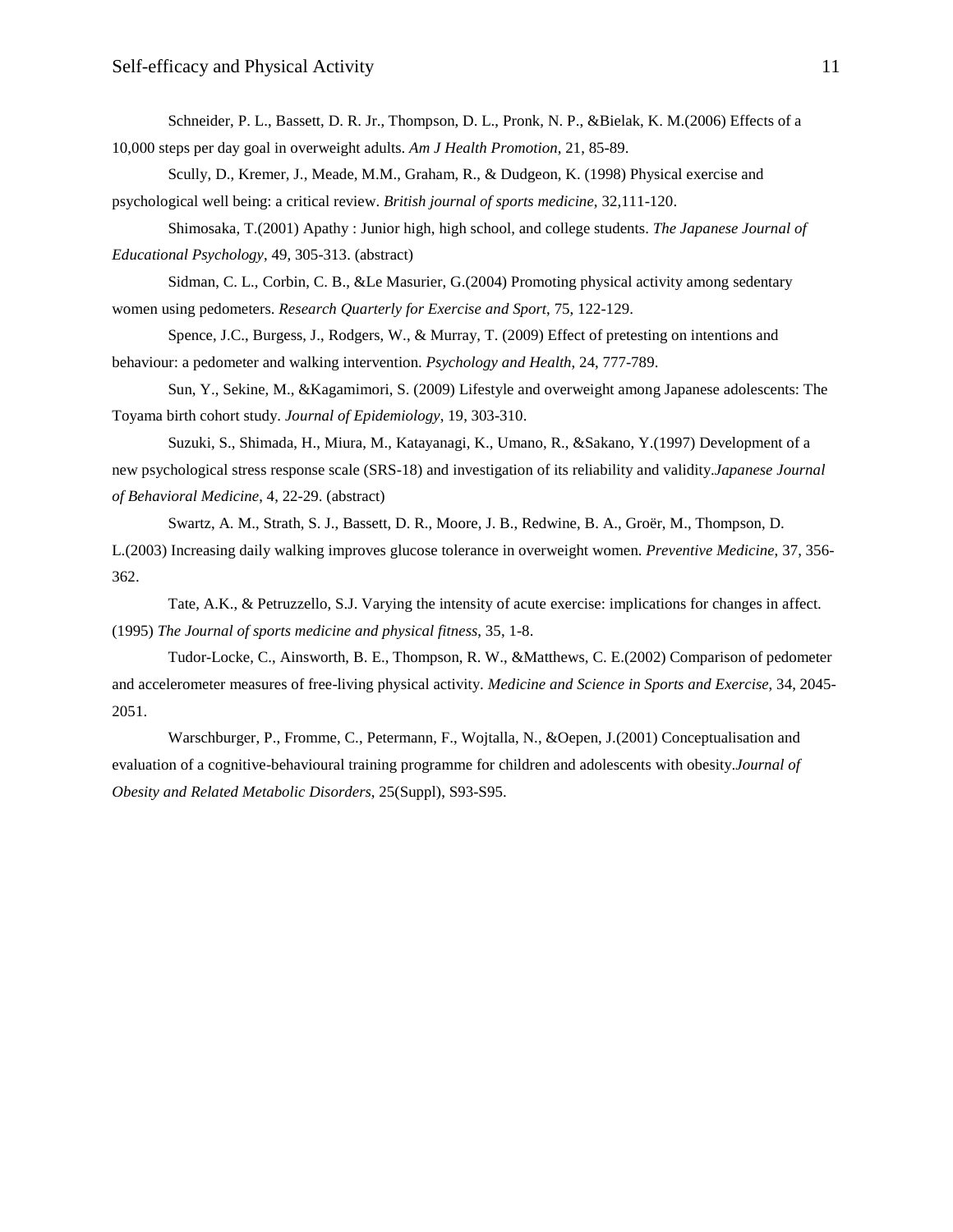Schneider, P. L., Bassett, D. R. Jr., Thompson, D. L., Pronk, N. P., &Bielak, K. M.(2006) Effects of a 10,000 steps per day goal in overweight adults. *Am J Health Promotion*, 21, 85-89.

Scully, D., Kremer, J., Meade, M.M., Graham, R., & Dudgeon, K. (1998) Physical exercise and psychological well being: a critical review. *British journal of sports medicine*, 32,111-120.

Shimosaka, T.(2001) Apathy : Junior high, high school, and college students. *The Japanese Journal of Educational Psychology*, 49, 305-313. (abstract)

Sidman, C. L., Corbin, C. B., &Le Masurier, G.(2004) Promoting physical activity among sedentary women using pedometers. *Research Quarterly for Exercise and Sport*, 75, 122-129.

Spence, J.C., Burgess, J., Rodgers, W., & Murray, T. (2009) Effect of pretesting on intentions and behaviour: a pedometer and walking intervention. *Psychology and Health*, 24, 777-789.

Sun, Y., Sekine, M., &Kagamimori, S. (2009) Lifestyle and overweight among Japanese adolescents: The Toyama birth cohort study. *Journal of Epidemiology*, 19, 303-310.

Suzuki, S., Shimada, H., Miura, M., Katayanagi, K., Umano, R., &Sakano, Y.(1997) Development of a new psychological stress response scale (SRS-18) and investigation of its reliability and validity.*Japanese Journal of Behavioral Medicine*, 4, 22-29. (abstract)

Swartz, A. M., Strath, S. J., Bassett, D. R., Moore, J. B., Redwine, B. A., Groër, M., Thompson, D. L.(2003) Increasing daily walking improves glucose tolerance in overweight women. *Preventive Medicine*, 37, 356- 362.

Tate, A.K., & Petruzzello, S.J. Varying the intensity of acute exercise: implications for changes in affect. (1995) *The Journal of sports medicine and physical fitness*, 35, 1-8.

Tudor-Locke, C., Ainsworth, B. E., Thompson, R. W., &Matthews, C. E.(2002) Comparison of pedometer and accelerometer measures of free-living physical activity. *Medicine and Science in Sports and Exercise*, 34, 2045- 2051.

Warschburger, P., Fromme, C., Petermann, F., Wojtalla, N., &Oepen, J.(2001) Conceptualisation and evaluation of a cognitive-behavioural training programme for children and adolescents with obesity.*Journal of Obesity and Related Metabolic Disorders*, 25(Suppl), S93-S95.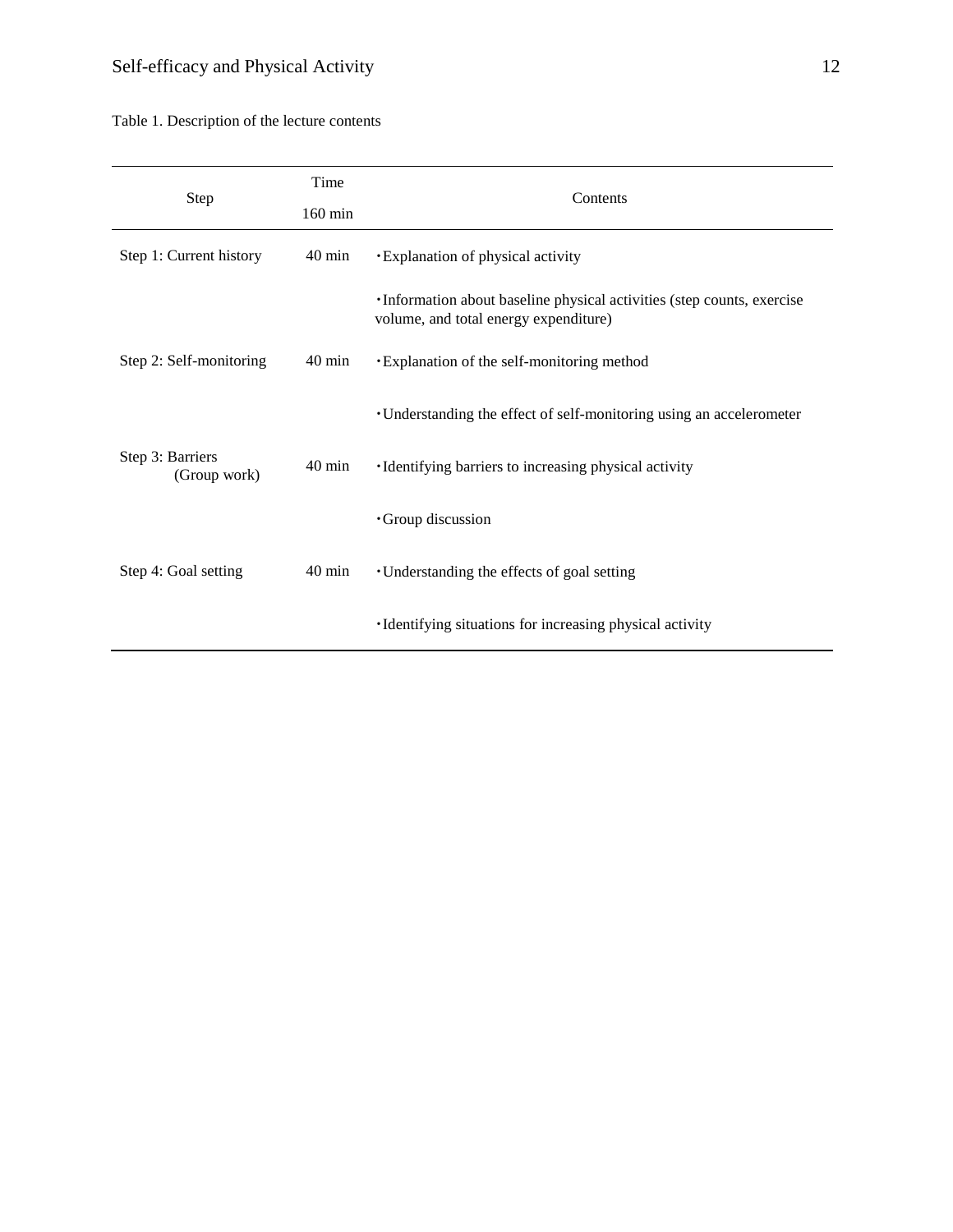| Step                             | Time<br>160 min  | Contents                                                                                                         |  |  |  |
|----------------------------------|------------------|------------------------------------------------------------------------------------------------------------------|--|--|--|
| Step 1: Current history          | $40 \text{ min}$ | <b>·</b> Explanation of physical activity                                                                        |  |  |  |
|                                  |                  | · Information about baseline physical activities (step counts, exercise<br>volume, and total energy expenditure) |  |  |  |
| Step 2: Self-monitoring          | $40 \text{ min}$ | • Explanation of the self-monitoring method                                                                      |  |  |  |
|                                  |                  | • Understanding the effect of self-monitoring using an accelerometer                                             |  |  |  |
| Step 3: Barriers<br>(Group work) | $40 \text{ min}$ | ·Identifying barriers to increasing physical activity                                                            |  |  |  |
|                                  |                  | Group discussion                                                                                                 |  |  |  |
| Step 4: Goal setting             | 40 min           | • Understanding the effects of goal setting                                                                      |  |  |  |
|                                  |                  | ·Identifying situations for increasing physical activity                                                         |  |  |  |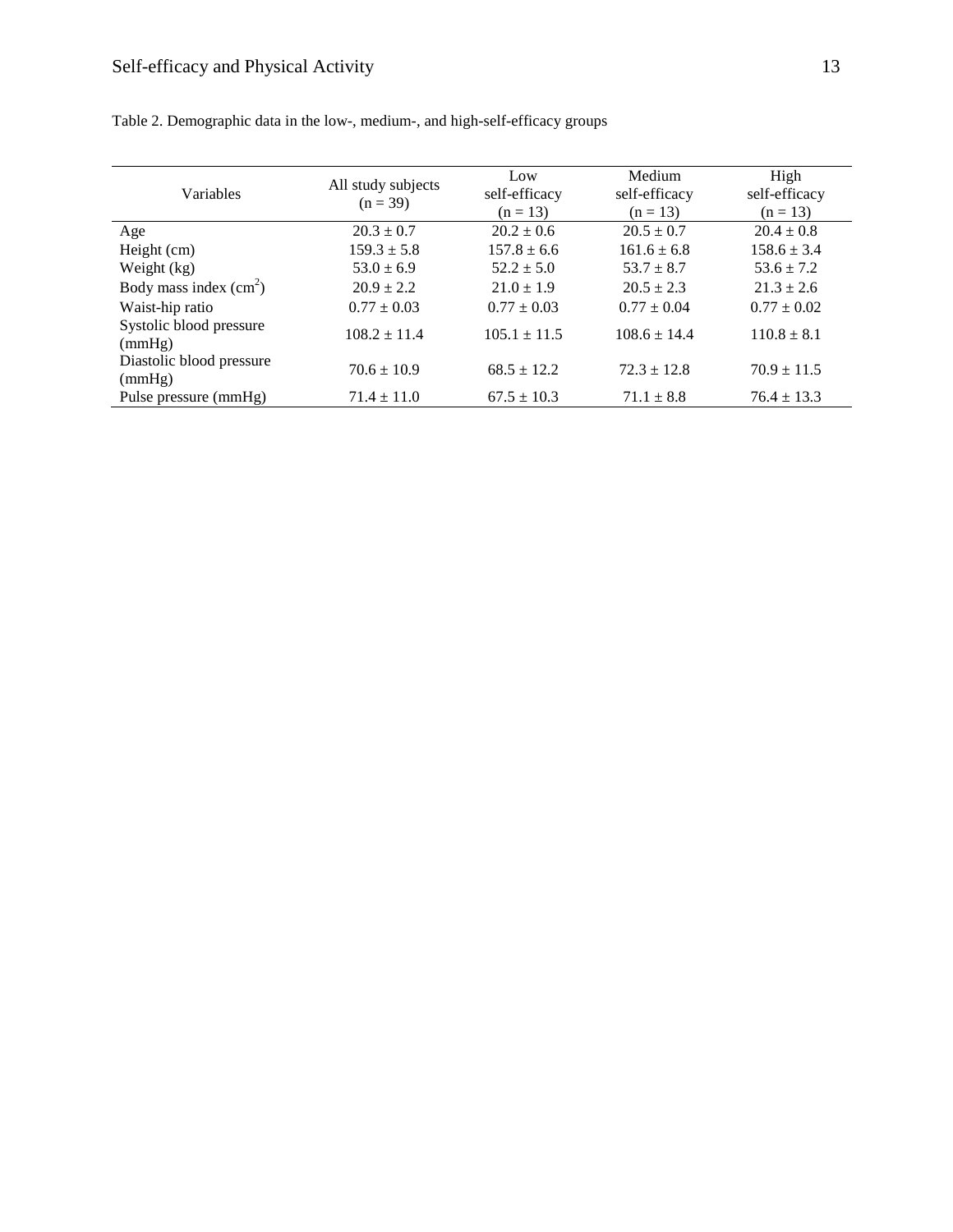| Variables                          | All study subjects<br>$(n = 39)$ | Low<br>self-efficacy<br>$(n = 13)$ | Medium<br>self-efficacy<br>$(n = 13)$ | High<br>self-efficacy<br>$(n = 13)$ |  |
|------------------------------------|----------------------------------|------------------------------------|---------------------------------------|-------------------------------------|--|
| Age                                | $20.3 \pm 0.7$                   | $20.2 \pm 0.6$                     | $20.5 \pm 0.7$                        | $20.4 \pm 0.8$                      |  |
| Height (cm)                        | $159.3 \pm 5.8$                  | $157.8 \pm 6.6$                    | $161.6 \pm 6.8$                       | $158.6 \pm 3.4$                     |  |
| Weight (kg)                        | $53.0 \pm 6.9$                   | $52.2 \pm 5.0$                     | $53.7 \pm 8.7$                        | $53.6 \pm 7.2$                      |  |
| Body mass index $(cm2)$            | $20.9 \pm 2.2$                   | $21.0 \pm 1.9$                     | $20.5 \pm 2.3$                        | $21.3 \pm 2.6$                      |  |
| Waist-hip ratio                    | $0.77 \pm 0.03$                  | $0.77 \pm 0.03$                    | $0.77 \pm 0.04$                       | $0.77 \pm 0.02$                     |  |
| Systolic blood pressure<br>(mmHg)  | $108.2 \pm 11.4$                 | $105.1 \pm 11.5$                   | $108.6 \pm 14.4$                      | $110.8 \pm 8.1$                     |  |
| Diastolic blood pressure<br>(mmHg) | $70.6 \pm 10.9$                  | $68.5 \pm 12.2$                    | $72.3 \pm 12.8$                       | $70.9 \pm 11.5$                     |  |
| Pulse pressure (mmHg)              | $71.4 \pm 11.0$                  | $67.5 \pm 10.3$                    | $71.1 \pm 8.8$                        | $76.4 \pm 13.3$                     |  |

Table 2. Demographic data in the low-, medium-, and high-self-efficacy groups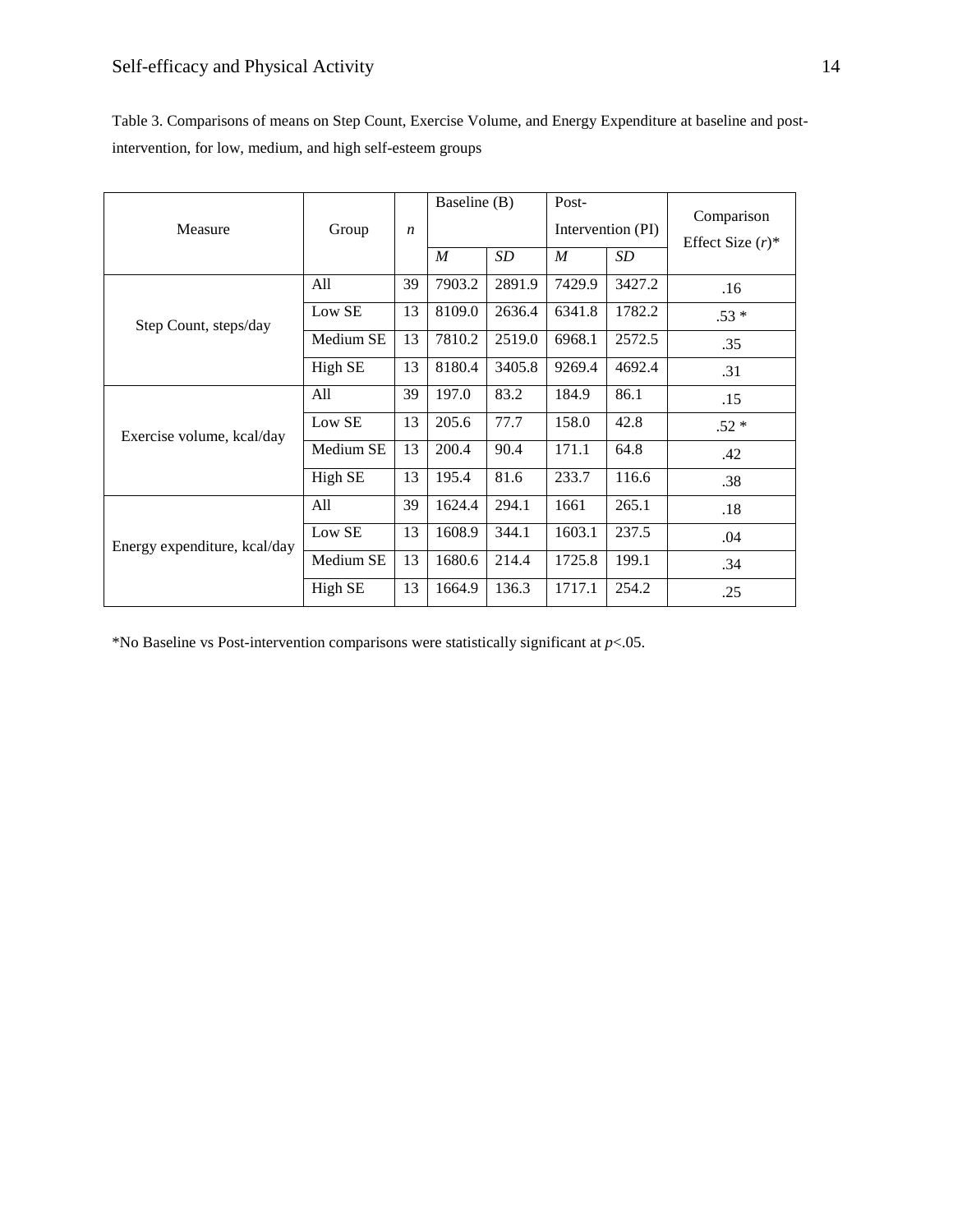| Table 3. Comparisons of means on Step Count, Exercise Volume, and Energy Expenditure at baseline and post- |
|------------------------------------------------------------------------------------------------------------|
| intervention, for low, medium, and high self-esteem groups                                                 |

| Measure                      | Group     | $\boldsymbol{n}$ | Baseline (B)     |           | Post-<br>Intervention (PI) |                 | Comparison<br>Effect Size $(r)^*$ |
|------------------------------|-----------|------------------|------------------|-----------|----------------------------|-----------------|-----------------------------------|
|                              |           |                  | $\boldsymbol{M}$ | <i>SD</i> | $\boldsymbol{M}$           | SD <sub>-</sub> |                                   |
| Step Count, steps/day        | All       | 39               | 7903.2           | 2891.9    | 7429.9                     | 3427.2          | .16                               |
|                              | Low SE    | 13               | 8109.0           | 2636.4    | 6341.8                     | 1782.2          | $.53*$                            |
|                              | Medium SE | 13               | 7810.2           | 2519.0    | 6968.1                     | 2572.5          | .35                               |
|                              | High SE   | 13               | 8180.4           | 3405.8    | 9269.4                     | 4692.4          | .31                               |
| Exercise volume, kcal/day    | All       | 39               | 197.0            | 83.2      | 184.9                      | 86.1            | .15                               |
|                              | Low SE    | 13               | 205.6            | 77.7      | 158.0                      | 42.8            | $.52*$                            |
|                              | Medium SE | 13               | 200.4            | 90.4      | 171.1                      | 64.8            | .42                               |
|                              | High SE   | 13               | 195.4            | 81.6      | 233.7                      | 116.6           | .38                               |
| Energy expenditure, kcal/day | All       | 39               | 1624.4           | 294.1     | 1661                       | 265.1           | .18                               |
|                              | Low SE    | 13               | 1608.9           | 344.1     | 1603.1                     | 237.5           | .04                               |
|                              | Medium SE | 13               | 1680.6           | 214.4     | 1725.8                     | 199.1           | .34                               |
|                              | High SE   | 13               | 1664.9           | 136.3     | 1717.1                     | 254.2           | .25                               |

\*No Baseline vs Post-intervention comparisons were statistically significant at *p*<.05.